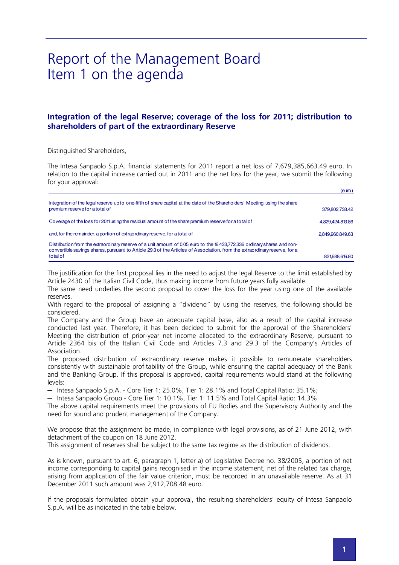## Report of the Management Board Item 1 on the agenda

## **Integration of the legal Reserve; coverage of the loss for 2011; distribution to shareholders of part of the extraordinary Reserve**

Distinguished Shareholders,

The Intesa Sanpaolo S.p.A. financial statements for 2011 report a net loss of 7,679,385,663.49 euro. In relation to the capital increase carried out in 2011 and the net loss for the year, we submit the following for your approval:

| (euro)           |
|------------------|
| 379,802,738.42   |
| 4,829,424,813.86 |
| 2.849.960.849.63 |
| 821,688,616.80   |
|                  |

The justification for the first proposal lies in the need to adjust the legal Reserve to the limit established by Article 2430 of the Italian Civil Code, thus making income from future years fully available.

The same need underlies the second proposal to cover the loss for the year using one of the available reserves.

With regard to the proposal of assigning a "dividend" by using the reserves, the following should be considered.

The Company and the Group have an adequate capital base, also as a result of the capital increase conducted last year. Therefore, it has been decided to submit for the approval of the Shareholders' Meeting the distribution of prior-year net income allocated to the extraordinary Reserve, pursuant to Article 2364 bis of the Italian Civil Code and Articles 7.3 and 29.3 of the Company's Articles of Association.

The proposed distribution of extraordinary reserve makes it possible to remunerate shareholders consistently with sustainable profitability of the Group, while ensuring the capital adequacy of the Bank and the Banking Group. If this proposal is approved, capital requirements would stand at the following levels:

─ Intesa Sanpaolo S.p.A. - Core Tier 1: 25.0%, Tier 1: 28.1% and Total Capital Ratio: 35.1%;

─ Intesa Sanpaolo Group - Core Tier 1: 10.1%, Tier 1: 11.5% and Total Capital Ratio: 14.3%.

The above capital requirements meet the provisions of EU Bodies and the Supervisory Authority and the need for sound and prudent management of the Company.

We propose that the assignment be made, in compliance with legal provisions, as of 21 June 2012, with detachment of the coupon on 18 June 2012.

This assignment of reserves shall be subject to the same tax regime as the distribution of dividends.

As is known, pursuant to art. 6, paragraph 1, letter a) of Legislative Decree no. 38/2005, a portion of net income corresponding to capital gains recognised in the income statement, net of the related tax charge, arising from application of the fair value criterion, must be recorded in an unavailable reserve. As at 31 December 2011 such amount was 2,912,708.48 euro.

If the proposals formulated obtain your approval, the resulting shareholders' equity of Intesa Sanpaolo S.p.A. will be as indicated in the table below.